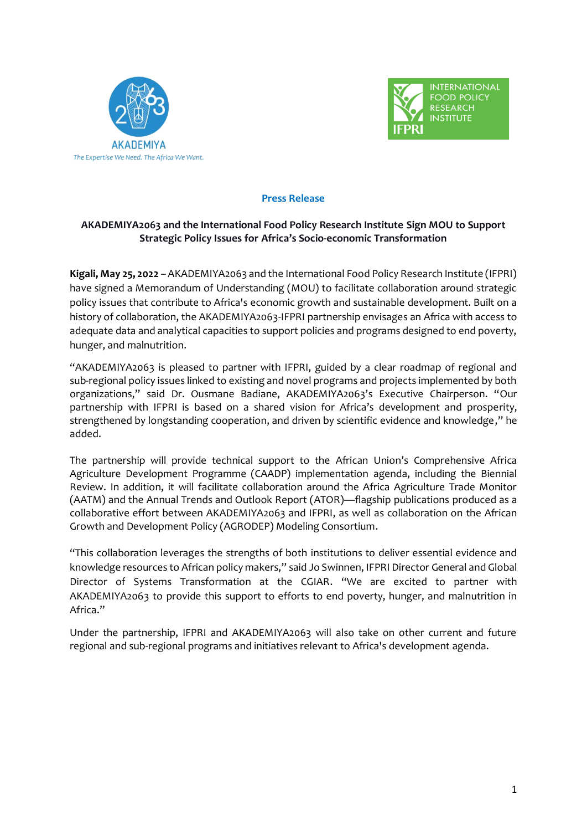



## **Press Release**

# **AKADEMIYA2063 and the International Food Policy Research Institute Sign MOU to Support Strategic Policy Issues for Africa's Socio-economic Transformation**

**Kigali, May 25, 2022** – AKADEMIYA2063 and the International Food Policy Research Institute (IFPRI) have signed a Memorandum of Understanding (MOU) to facilitate collaboration around strategic policy issues that contribute to Africa's economic growth and sustainable development. Built on a history of collaboration, the AKADEMIYA2063-IFPRI partnership envisages an Africa with access to adequate data and analytical capacities to support policies and programs designed to end poverty, hunger, and malnutrition.

"AKADEMIYA2063 is pleased to partner with IFPRI, guided by a clear roadmap of regional and sub-regional policy issues linked to existing and novel programs and projects implemented by both organizations," said Dr. Ousmane Badiane, AKADEMIYA2063's Executive Chairperson. "Our partnership with IFPRI is based on a shared vision for Africa's development and prosperity, strengthened by longstanding cooperation, and driven by scientific evidence and knowledge," he added.

The partnership will provide technical support to the African Union's Comprehensive Africa Agriculture Development Programme (CAADP) implementation agenda, including the Biennial Review. In addition, it will facilitate collaboration around the Africa Agriculture Trade Monitor (AATM) and the Annual Trends and Outlook Report (ATOR)—flagship publications produced as a collaborative effort between AKADEMIYA2063 and IFPRI, as well as collaboration on the African Growth and Development Policy (AGRODEP) Modeling Consortium.

"This collaboration leverages the strengths of both institutions to deliver essential evidence and knowledge resources to African policy makers," said Jo Swinnen, IFPRI Director General and Global Director of Systems Transformation at the CGIAR. "We are excited to partner with AKADEMIYA2063 to provide this support to efforts to end poverty, hunger, and malnutrition in Africa."

Under the partnership, IFPRI and AKADEMIYA2063 will also take on other current and future regional and sub-regional programs and initiatives relevant to Africa's development agenda.